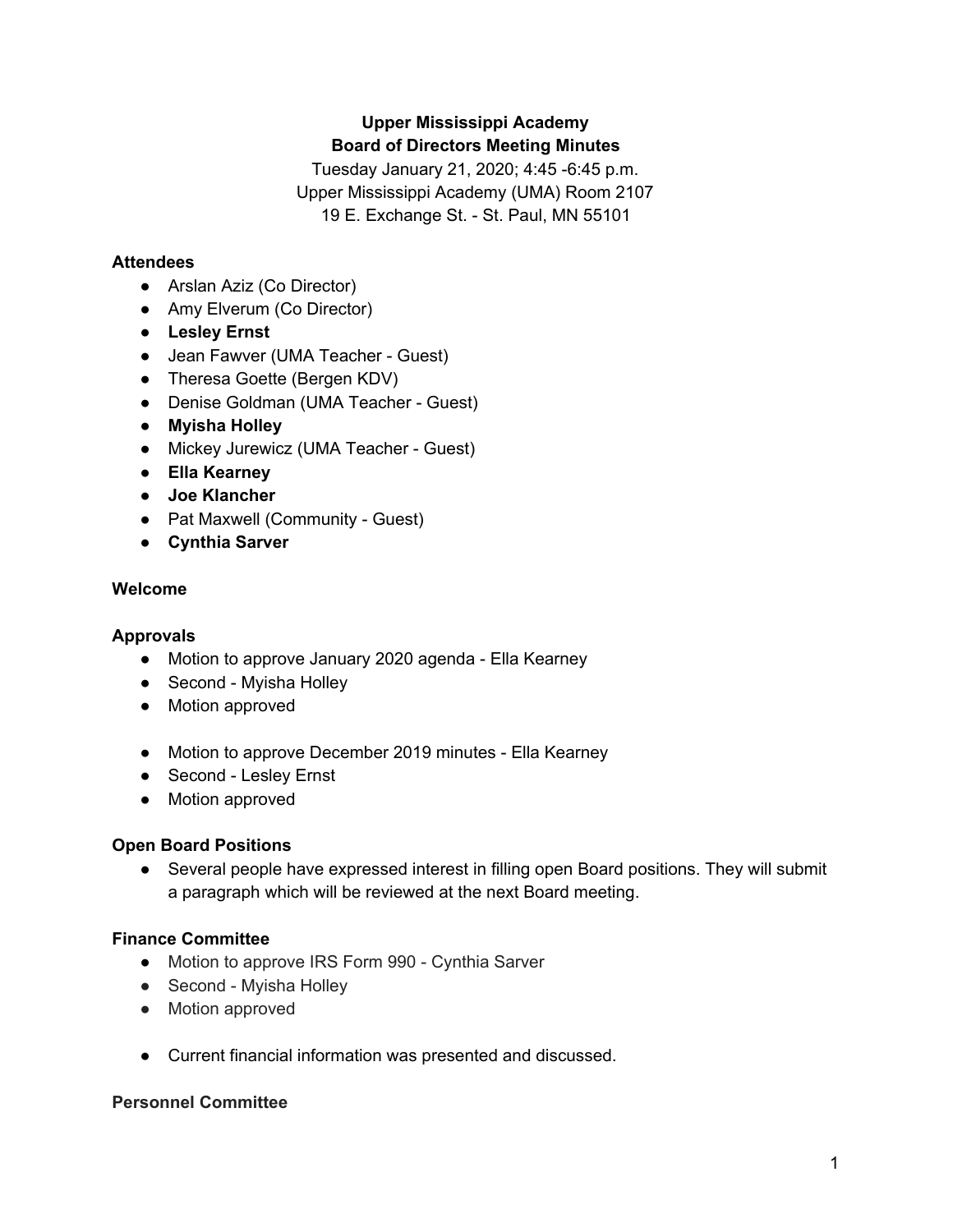# **Upper Mississippi Academy Board of Directors Meeting Minutes**

Tuesday January 21, 2020; 4:45 -6:45 p.m. Upper Mississippi Academy (UMA) Room 2107 19 E. Exchange St. - St. Paul, MN 55101

# **Attendees**

- Arslan Aziz (Co Director)
- Amy Elverum (Co Director)
- **● Lesley Ernst**
- Jean Fawver (UMA Teacher Guest)
- Theresa Goette (Bergen KDV)
- Denise Goldman (UMA Teacher Guest)
- **● Myisha Holley**
- Mickey Jurewicz (UMA Teacher Guest)
- **● Ella Kearney**
- **● Joe Klancher**
- **●** Pat Maxwell (Community Guest)
- **● Cynthia Sarver**

# **Welcome**

# **Approvals**

- Motion to approve January 2020 agenda Ella Kearney
- Second Myisha Holley
- Motion approved
- Motion to approve December 2019 minutes Ella Kearney
- Second Lesley Ernst
- Motion approved

# **Open Board Positions**

● Several people have expressed interest in filling open Board positions. They will submit a paragraph which will be reviewed at the next Board meeting.

# **Finance Committee**

- Motion to approve IRS Form 990 Cynthia Sarver
- Second Myisha Holley
- Motion approved
- Current financial information was presented and discussed.

# **Personnel Committee**